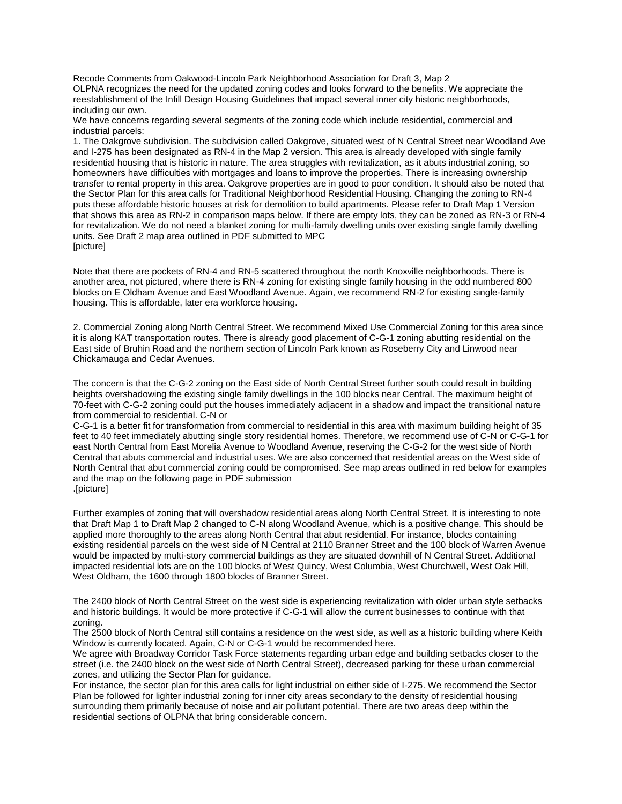Recode Comments from Oakwood-Lincoln Park Neighborhood Association for Draft 3, Map 2 OLPNA recognizes the need for the updated zoning codes and looks forward to the benefits. We appreciate the reestablishment of the Infill Design Housing Guidelines that impact several inner city historic neighborhoods, including our own.

We have concerns regarding several segments of the zoning code which include residential, commercial and industrial parcels:

1. The Oakgrove subdivision. The subdivision called Oakgrove, situated west of N Central Street near Woodland Ave and I-275 has been designated as RN-4 in the Map 2 version. This area is already developed with single family residential housing that is historic in nature. The area struggles with revitalization, as it abuts industrial zoning, so homeowners have difficulties with mortgages and loans to improve the properties. There is increasing ownership transfer to rental property in this area. Oakgrove properties are in good to poor condition. It should also be noted that the Sector Plan for this area calls for Traditional Neighborhood Residential Housing. Changing the zoning to RN-4 puts these affordable historic houses at risk for demolition to build apartments. Please refer to Draft Map 1 Version that shows this area as RN-2 in comparison maps below. If there are empty lots, they can be zoned as RN-3 or RN-4 for revitalization. We do not need a blanket zoning for multi-family dwelling units over existing single family dwelling units. See Draft 2 map area outlined in PDF submitted to MPC [picture]

Note that there are pockets of RN-4 and RN-5 scattered throughout the north Knoxville neighborhoods. There is another area, not pictured, where there is RN-4 zoning for existing single family housing in the odd numbered 800 blocks on E Oldham Avenue and East Woodland Avenue. Again, we recommend RN-2 for existing single-family housing. This is affordable, later era workforce housing.

2. Commercial Zoning along North Central Street. We recommend Mixed Use Commercial Zoning for this area since it is along KAT transportation routes. There is already good placement of C-G-1 zoning abutting residential on the East side of Bruhin Road and the northern section of Lincoln Park known as Roseberry City and Linwood near Chickamauga and Cedar Avenues.

The concern is that the C-G-2 zoning on the East side of North Central Street further south could result in building heights overshadowing the existing single family dwellings in the 100 blocks near Central. The maximum height of 70-feet with C-G-2 zoning could put the houses immediately adjacent in a shadow and impact the transitional nature from commercial to residential. C-N or

C-G-1 is a better fit for transformation from commercial to residential in this area with maximum building height of 35 feet to 40 feet immediately abutting single story residential homes. Therefore, we recommend use of C-N or C-G-1 for east North Central from East Morelia Avenue to Woodland Avenue, reserving the C-G-2 for the west side of North Central that abuts commercial and industrial uses. We are also concerned that residential areas on the West side of North Central that abut commercial zoning could be compromised. See map areas outlined in red below for examples and the map on the following page in PDF submission .[picture]

Further examples of zoning that will overshadow residential areas along North Central Street. It is interesting to note that Draft Map 1 to Draft Map 2 changed to C-N along Woodland Avenue, which is a positive change. This should be applied more thoroughly to the areas along North Central that abut residential. For instance, blocks containing existing residential parcels on the west side of N Central at 2110 Branner Street and the 100 block of Warren Avenue would be impacted by multi-story commercial buildings as they are situated downhill of N Central Street. Additional impacted residential lots are on the 100 blocks of West Quincy, West Columbia, West Churchwell, West Oak Hill, West Oldham, the 1600 through 1800 blocks of Branner Street.

The 2400 block of North Central Street on the west side is experiencing revitalization with older urban style setbacks and historic buildings. It would be more protective if C-G-1 will allow the current businesses to continue with that zoning.

The 2500 block of North Central still contains a residence on the west side, as well as a historic building where Keith Window is currently located. Again, C-N or C-G-1 would be recommended here.

We agree with Broadway Corridor Task Force statements regarding urban edge and building setbacks closer to the street (i.e. the 2400 block on the west side of North Central Street), decreased parking for these urban commercial zones, and utilizing the Sector Plan for guidance.

For instance, the sector plan for this area calls for light industrial on either side of I-275. We recommend the Sector Plan be followed for lighter industrial zoning for inner city areas secondary to the density of residential housing surrounding them primarily because of noise and air pollutant potential. There are two areas deep within the residential sections of OLPNA that bring considerable concern.